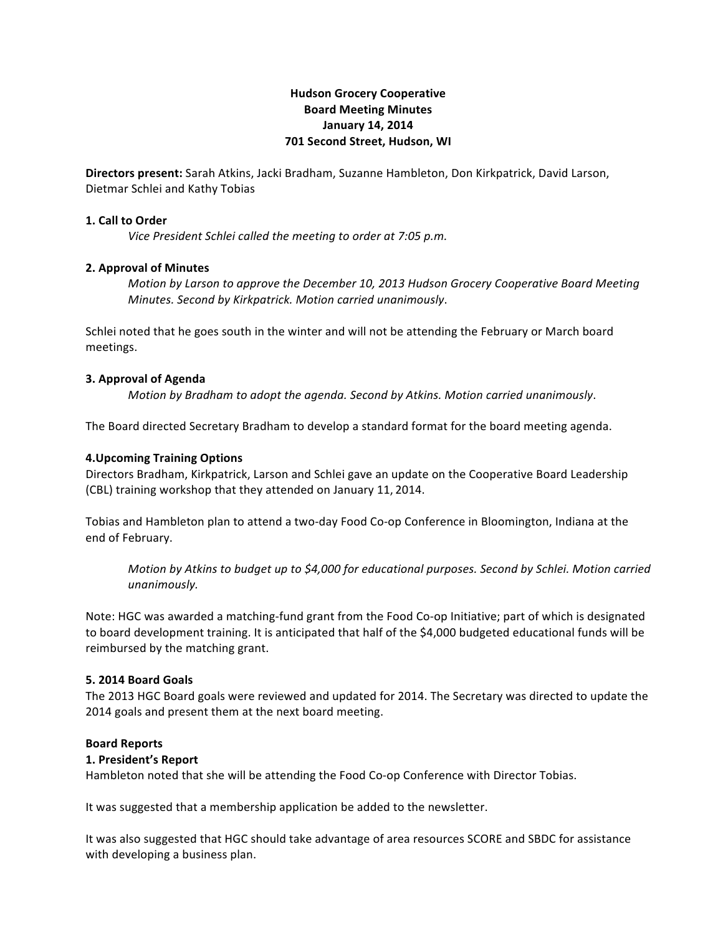# **Hudson'Grocery'Cooperative Board'Meeting'Minutes** January 14, 2014 **701 Second Street, Hudson, WI**

Directors present: Sarah Atkins, Jacki Bradham, Suzanne Hambleton, Don Kirkpatrick, David Larson, Dietmar Schlei and Kathy Tobias

# **1. Call to Order**

*Vice President Schlei called the meeting to order at 7:05 p.m.* 

# **2. Approval of Minutes**

*Motion by Larson to approve the December 10, 2013 Hudson Grocery Cooperative Board Meeting Minutes. Second by Kirkpatrick. Motion carried unanimously.* 

Schlei noted that he goes south in the winter and will not be attending the February or March board meetings.

# **3. Approval of Agenda**

*Motion by Bradham to adopt the agenda. Second by Atkins. Motion carried unanimously.* 

The Board directed Secretary Bradham to develop a standard format for the board meeting agenda.

# **4.Upcoming'Training'Options**

Directors Bradham, Kirkpatrick, Larson and Schlei gave an update on the Cooperative Board Leadership (CBL) training workshop that they attended on January 11, 2014.

Tobias and Hambleton plan to attend a two-day Food Co-op Conference in Bloomington, Indiana at the end of February.

*Motion by Atkins to budget up to \$4,000 for educational purposes. Second by Schlei. Motion carried unanimously.*

Note: HGC was awarded a matching-fund grant from the Food Co-op Initiative; part of which is designated to board development training. It is anticipated that half of the \$4,000 budgeted educational funds will be reimbursed by the matching grant.

#### **5.'2014'Board Goals**

The 2013 HGC Board goals were reviewed and updated for 2014. The Secretary was directed to update the 2014 goals and present them at the next board meeting.

#### **Board'Reports**

#### 1. President's Report

Hambleton noted that she will be attending the Food Co-op Conference with Director Tobias.

It was suggested that a membership application be added to the newsletter.

It was also suggested that HGC should take advantage of area resources SCORE and SBDC for assistance with developing a business plan.